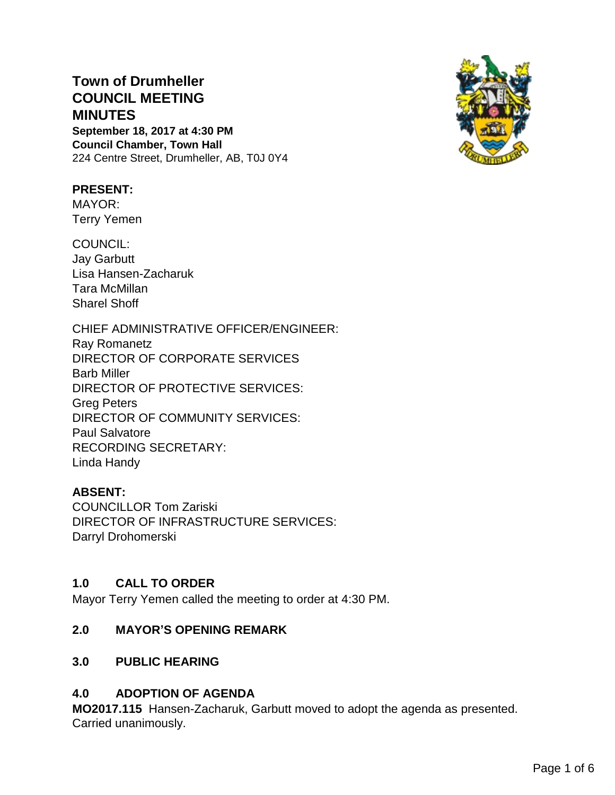# **Town of Drumheller COUNCIL MEETING MINUTES**

**September 18, 2017 at 4:30 PM Council Chamber, Town Hall** 224 Centre Street, Drumheller, AB, T0J 0Y4

### **PRESENT:**

MAYOR: Terry Yemen

COUNCIL: Jay Garbutt Lisa Hansen-Zacharuk Tara McMillan Sharel Shoff

CHIEF ADMINISTRATIVE OFFICER/ENGINEER: Ray Romanetz DIRECTOR OF CORPORATE SERVICES Barb Miller DIRECTOR OF PROTECTIVE SERVICES: Greg Peters DIRECTOR OF COMMUNITY SERVICES: Paul Salvatore RECORDING SECRETARY: Linda Handy

### **ABSENT:**

COUNCILLOR Tom Zariski DIRECTOR OF INFRASTRUCTURE SERVICES: Darryl Drohomerski

#### **1.0 CALL TO ORDER**

Mayor Terry Yemen called the meeting to order at 4:30 PM.

### **2.0 MAYOR'S OPENING REMARK**

### **3.0 PUBLIC HEARING**

### **4.0 ADOPTION OF AGENDA**

**MO2017.115** Hansen-Zacharuk, Garbutt moved to adopt the agenda as presented. Carried unanimously.

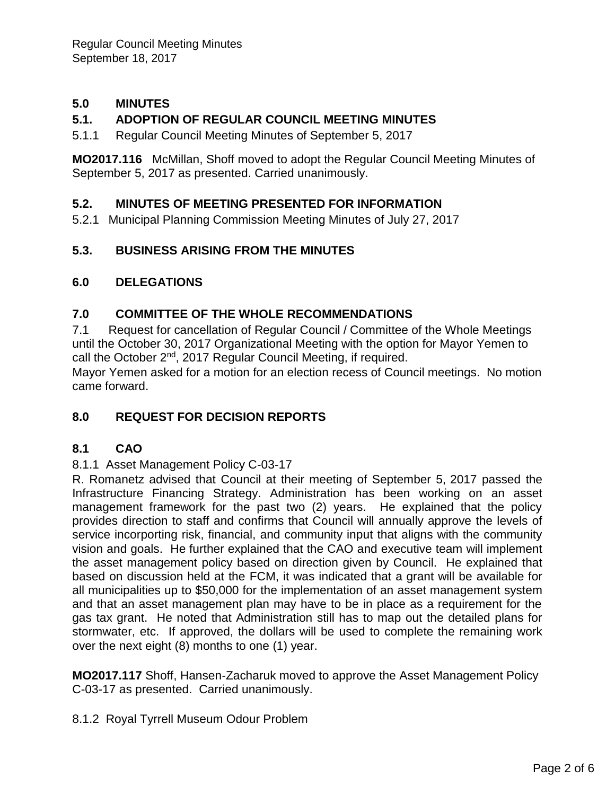# **5.0 MINUTES**

## **5.1. ADOPTION OF REGULAR COUNCIL MEETING MINUTES**

5.1.1 Regular Council Meeting Minutes of September 5, 2017

**MO2017.116** McMillan, Shoff moved to adopt the Regular Council Meeting Minutes of September 5, 2017 as presented. Carried unanimously.

### **5.2. MINUTES OF MEETING PRESENTED FOR INFORMATION**

5.2.1 Municipal Planning Commission Meeting Minutes of July 27, 2017

### **5.3. BUSINESS ARISING FROM THE MINUTES**

#### **6.0 DELEGATIONS**

### **7.0 COMMITTEE OF THE WHOLE RECOMMENDATIONS**

7.1 Request for cancellation of Regular Council / Committee of the Whole Meetings until the October 30, 2017 Organizational Meeting with the option for Mayor Yemen to call the October 2<sup>nd</sup>, 2017 Regular Council Meeting, if required.

Mayor Yemen asked for a motion for an election recess of Council meetings. No motion came forward.

### **8.0 REQUEST FOR DECISION REPORTS**

### **8.1 CAO**

#### 8.1.1 Asset Management Policy C-03-17

R. Romanetz advised that Council at their meeting of September 5, 2017 passed the Infrastructure Financing Strategy. Administration has been working on an asset management framework for the past two (2) years. He explained that the policy provides direction to staff and confirms that Council will annually approve the levels of service incorporting risk, financial, and community input that aligns with the community vision and goals. He further explained that the CAO and executive team will implement the asset management policy based on direction given by Council. He explained that based on discussion held at the FCM, it was indicated that a grant will be available for all municipalities up to \$50,000 for the implementation of an asset management system and that an asset management plan may have to be in place as a requirement for the gas tax grant. He noted that Administration still has to map out the detailed plans for stormwater, etc. If approved, the dollars will be used to complete the remaining work over the next eight (8) months to one (1) year.

**MO2017.117** Shoff, Hansen-Zacharuk moved to approve the Asset Management Policy C-03-17 as presented. Carried unanimously.

#### 8.1.2 Royal Tyrrell Museum Odour Problem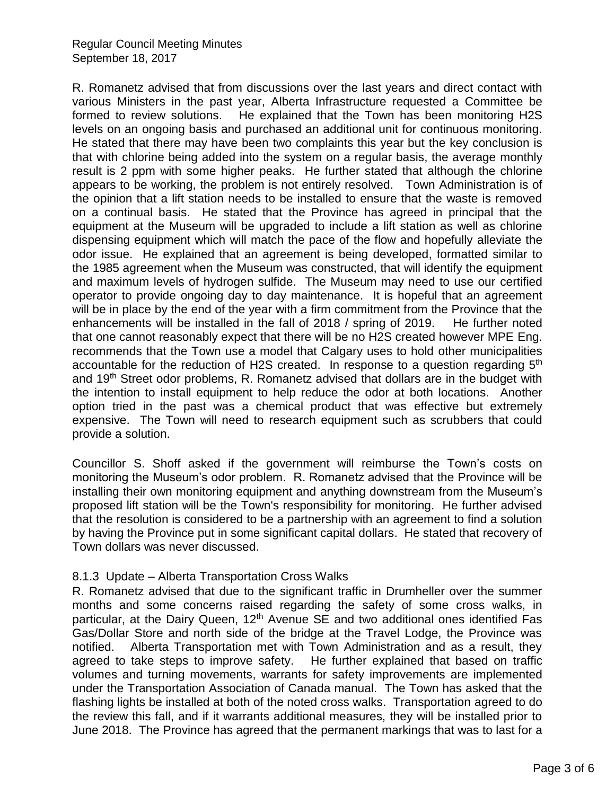R. Romanetz advised that from discussions over the last years and direct contact with various Ministers in the past year, Alberta Infrastructure requested a Committee be formed to review solutions. He explained that the Town has been monitoring H2S levels on an ongoing basis and purchased an additional unit for continuous monitoring. He stated that there may have been two complaints this year but the key conclusion is that with chlorine being added into the system on a regular basis, the average monthly result is 2 ppm with some higher peaks. He further stated that although the chlorine appears to be working, the problem is not entirely resolved. Town Administration is of the opinion that a lift station needs to be installed to ensure that the waste is removed on a continual basis. He stated that the Province has agreed in principal that the equipment at the Museum will be upgraded to include a lift station as well as chlorine dispensing equipment which will match the pace of the flow and hopefully alleviate the odor issue. He explained that an agreement is being developed, formatted similar to the 1985 agreement when the Museum was constructed, that will identify the equipment and maximum levels of hydrogen sulfide. The Museum may need to use our certified operator to provide ongoing day to day maintenance. It is hopeful that an agreement will be in place by the end of the year with a firm commitment from the Province that the enhancements will be installed in the fall of 2018 / spring of 2019. He further noted that one cannot reasonably expect that there will be no H2S created however MPE Eng. recommends that the Town use a model that Calgary uses to hold other municipalities accountable for the reduction of H2S created. In response to a question regarding 5<sup>th</sup> and 19<sup>th</sup> Street odor problems, R. Romanetz advised that dollars are in the budget with the intention to install equipment to help reduce the odor at both locations. Another option tried in the past was a chemical product that was effective but extremely expensive. The Town will need to research equipment such as scrubbers that could provide a solution.

Councillor S. Shoff asked if the government will reimburse the Town's costs on monitoring the Museum's odor problem. R. Romanetz advised that the Province will be installing their own monitoring equipment and anything downstream from the Museum's proposed lift station will be the Town's responsibility for monitoring. He further advised that the resolution is considered to be a partnership with an agreement to find a solution by having the Province put in some significant capital dollars. He stated that recovery of Town dollars was never discussed.

#### 8.1.3 Update – Alberta Transportation Cross Walks

R. Romanetz advised that due to the significant traffic in Drumheller over the summer months and some concerns raised regarding the safety of some cross walks, in particular, at the Dairy Queen,  $12<sup>th</sup>$  Avenue SE and two additional ones identified Fas Gas/Dollar Store and north side of the bridge at the Travel Lodge, the Province was notified. Alberta Transportation met with Town Administration and as a result, they agreed to take steps to improve safety. He further explained that based on traffic volumes and turning movements, warrants for safety improvements are implemented under the Transportation Association of Canada manual. The Town has asked that the flashing lights be installed at both of the noted cross walks. Transportation agreed to do the review this fall, and if it warrants additional measures, they will be installed prior to June 2018. The Province has agreed that the permanent markings that was to last for a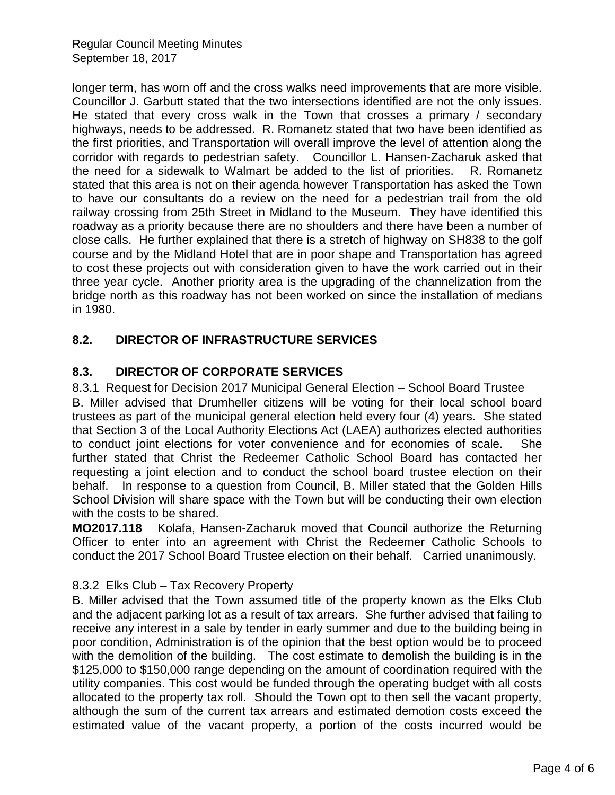Regular Council Meeting Minutes September 18, 2017

longer term, has worn off and the cross walks need improvements that are more visible. Councillor J. Garbutt stated that the two intersections identified are not the only issues. He stated that every cross walk in the Town that crosses a primary / secondary highways, needs to be addressed. R. Romanetz stated that two have been identified as the first priorities, and Transportation will overall improve the level of attention along the corridor with regards to pedestrian safety. Councillor L. Hansen-Zacharuk asked that the need for a sidewalk to Walmart be added to the list of priorities. R. Romanetz stated that this area is not on their agenda however Transportation has asked the Town to have our consultants do a review on the need for a pedestrian trail from the old railway crossing from 25th Street in Midland to the Museum. They have identified this roadway as a priority because there are no shoulders and there have been a number of close calls. He further explained that there is a stretch of highway on SH838 to the golf course and by the Midland Hotel that are in poor shape and Transportation has agreed to cost these projects out with consideration given to have the work carried out in their three year cycle. Another priority area is the upgrading of the channelization from the bridge north as this roadway has not been worked on since the installation of medians in 1980.

# **8.2. DIRECTOR OF INFRASTRUCTURE SERVICES**

# **8.3. DIRECTOR OF CORPORATE SERVICES**

8.3.1 Request for Decision 2017 Municipal General Election – School Board Trustee B. Miller advised that Drumheller citizens will be voting for their local school board trustees as part of the municipal general election held every four (4) years. She stated that Section 3 of the Local Authority Elections Act (LAEA) authorizes elected authorities to conduct joint elections for voter convenience and for economies of scale. She further stated that Christ the Redeemer Catholic School Board has contacted her requesting a joint election and to conduct the school board trustee election on their behalf. In response to a question from Council, B. Miller stated that the Golden Hills School Division will share space with the Town but will be conducting their own election with the costs to be shared.

**MO2017.118** Kolafa, Hansen-Zacharuk moved that Council authorize the Returning Officer to enter into an agreement with Christ the Redeemer Catholic Schools to conduct the 2017 School Board Trustee election on their behalf. Carried unanimously.

### 8.3.2 Elks Club – Tax Recovery Property

B. Miller advised that the Town assumed title of the property known as the Elks Club and the adjacent parking lot as a result of tax arrears. She further advised that failing to receive any interest in a sale by tender in early summer and due to the building being in poor condition, Administration is of the opinion that the best option would be to proceed with the demolition of the building. The cost estimate to demolish the building is in the \$125,000 to \$150,000 range depending on the amount of coordination required with the utility companies. This cost would be funded through the operating budget with all costs allocated to the property tax roll. Should the Town opt to then sell the vacant property, although the sum of the current tax arrears and estimated demotion costs exceed the estimated value of the vacant property, a portion of the costs incurred would be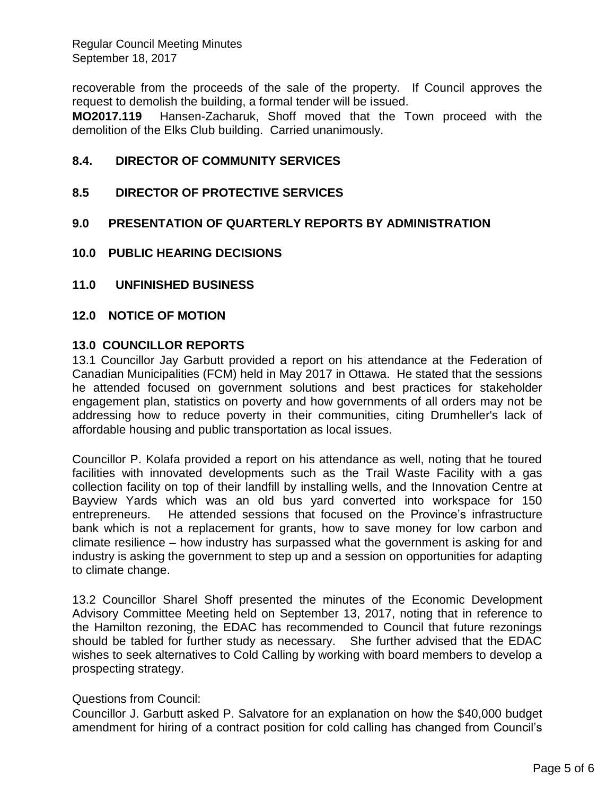Regular Council Meeting Minutes September 18, 2017

recoverable from the proceeds of the sale of the property. If Council approves the request to demolish the building, a formal tender will be issued.

**MO2017.119** Hansen-Zacharuk, Shoff moved that the Town proceed with the demolition of the Elks Club building. Carried unanimously.

#### **8.4. DIRECTOR OF COMMUNITY SERVICES**

#### **8.5 DIRECTOR OF PROTECTIVE SERVICES**

#### **9.0 PRESENTATION OF QUARTERLY REPORTS BY ADMINISTRATION**

- **10.0 PUBLIC HEARING DECISIONS**
- **11.0 UNFINISHED BUSINESS**

#### **12.0 NOTICE OF MOTION**

#### **13.0 COUNCILLOR REPORTS**

13.1 Councillor Jay Garbutt provided a report on his attendance at the Federation of Canadian Municipalities (FCM) held in May 2017 in Ottawa. He stated that the sessions he attended focused on government solutions and best practices for stakeholder engagement plan, statistics on poverty and how governments of all orders may not be addressing how to reduce poverty in their communities, citing Drumheller's lack of affordable housing and public transportation as local issues.

Councillor P. Kolafa provided a report on his attendance as well, noting that he toured facilities with innovated developments such as the Trail Waste Facility with a gas collection facility on top of their landfill by installing wells, and the Innovation Centre at Bayview Yards which was an old bus yard converted into workspace for 150 entrepreneurs. He attended sessions that focused on the Province's infrastructure bank which is not a replacement for grants, how to save money for low carbon and climate resilience – how industry has surpassed what the government is asking for and industry is asking the government to step up and a session on opportunities for adapting to climate change.

13.2 Councillor Sharel Shoff presented the minutes of the Economic Development Advisory Committee Meeting held on September 13, 2017, noting that in reference to the Hamilton rezoning, the EDAC has recommended to Council that future rezonings should be tabled for further study as necessary. She further advised that the EDAC wishes to seek alternatives to Cold Calling by working with board members to develop a prospecting strategy.

#### Questions from Council:

Councillor J. Garbutt asked P. Salvatore for an explanation on how the \$40,000 budget amendment for hiring of a contract position for cold calling has changed from Council's